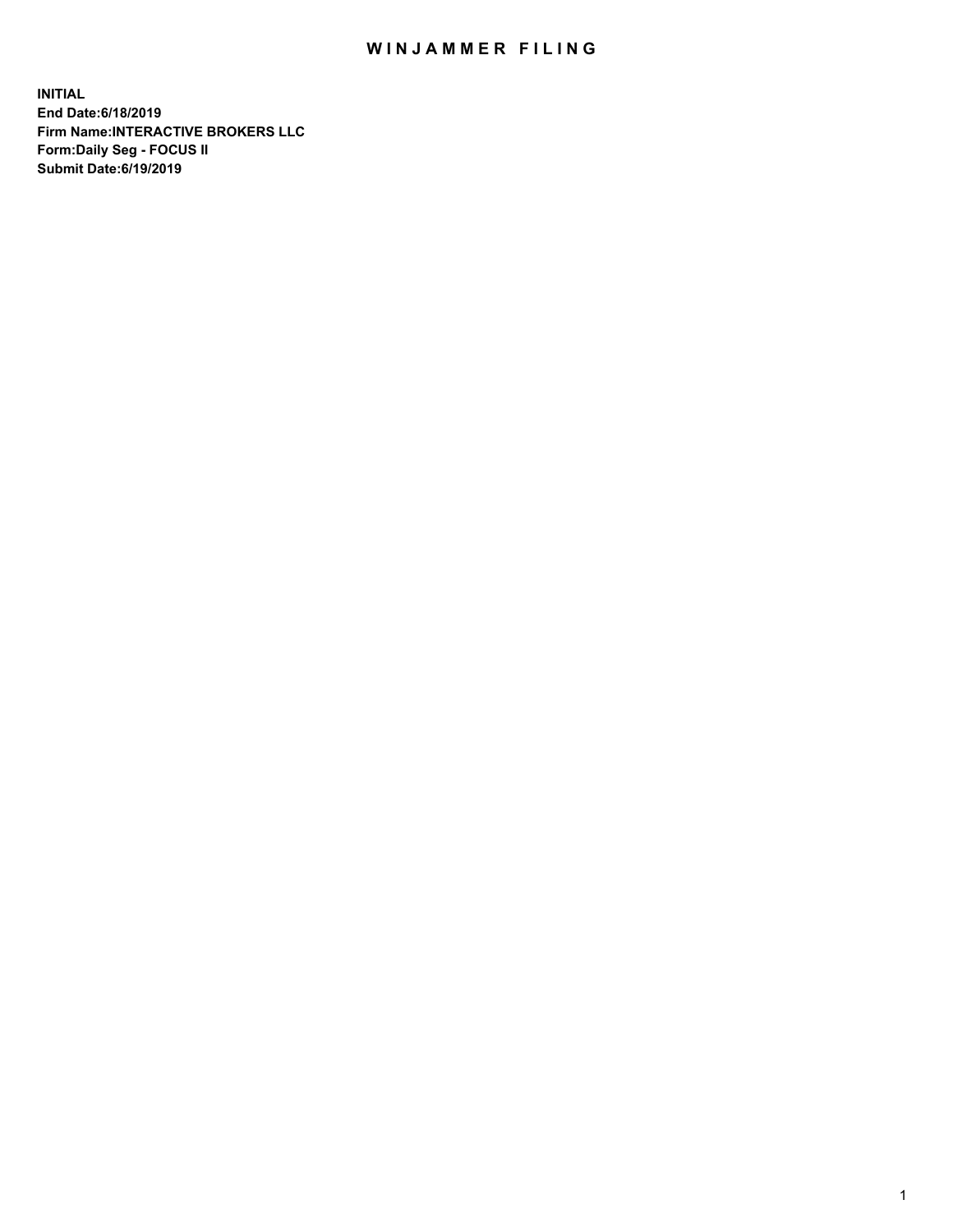## WIN JAMMER FILING

**INITIAL End Date:6/18/2019 Firm Name:INTERACTIVE BROKERS LLC Form:Daily Seg - FOCUS II Submit Date:6/19/2019**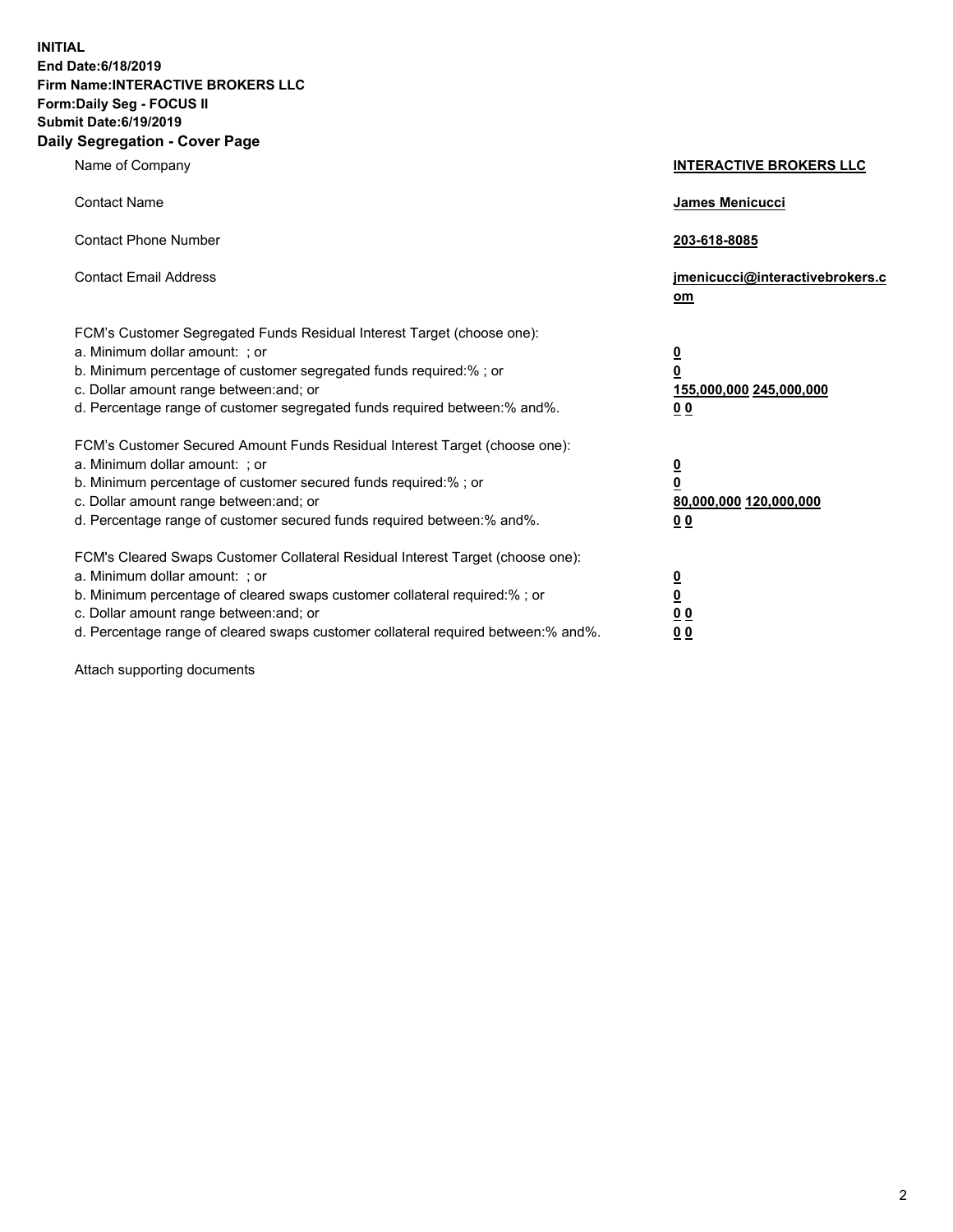**INITIAL End Date:6/18/2019 Firm Name:INTERACTIVE BROKERS LLC Form:Daily Seg - FOCUS II Submit Date:6/19/2019 Daily Segregation - Cover Page**

| Name of Company                                                                                                                                                                                                                                                                                                                | <b>INTERACTIVE BROKERS LLC</b>                                                                  |
|--------------------------------------------------------------------------------------------------------------------------------------------------------------------------------------------------------------------------------------------------------------------------------------------------------------------------------|-------------------------------------------------------------------------------------------------|
| <b>Contact Name</b>                                                                                                                                                                                                                                                                                                            | James Menicucci                                                                                 |
| <b>Contact Phone Number</b>                                                                                                                                                                                                                                                                                                    | 203-618-8085                                                                                    |
| <b>Contact Email Address</b>                                                                                                                                                                                                                                                                                                   | jmenicucci@interactivebrokers.c<br>om                                                           |
| FCM's Customer Segregated Funds Residual Interest Target (choose one):<br>a. Minimum dollar amount: ; or<br>b. Minimum percentage of customer segregated funds required:% ; or<br>c. Dollar amount range between: and; or<br>d. Percentage range of customer segregated funds required between:% and%.                         | $\overline{\mathbf{0}}$<br>$\overline{\mathbf{0}}$<br>155,000,000 245,000,000<br>0 <sub>0</sub> |
| FCM's Customer Secured Amount Funds Residual Interest Target (choose one):<br>a. Minimum dollar amount: ; or<br>b. Minimum percentage of customer secured funds required:% ; or<br>c. Dollar amount range between: and; or<br>d. Percentage range of customer secured funds required between:% and%.                           | $\overline{\mathbf{0}}$<br>0<br>80,000,000 120,000,000<br>0 <sub>0</sub>                        |
| FCM's Cleared Swaps Customer Collateral Residual Interest Target (choose one):<br>a. Minimum dollar amount: ; or<br>b. Minimum percentage of cleared swaps customer collateral required:% ; or<br>c. Dollar amount range between: and; or<br>d. Percentage range of cleared swaps customer collateral required between:% and%. | $\overline{\mathbf{0}}$<br><u>0</u><br>$\underline{0}$ $\underline{0}$<br>00                    |

Attach supporting documents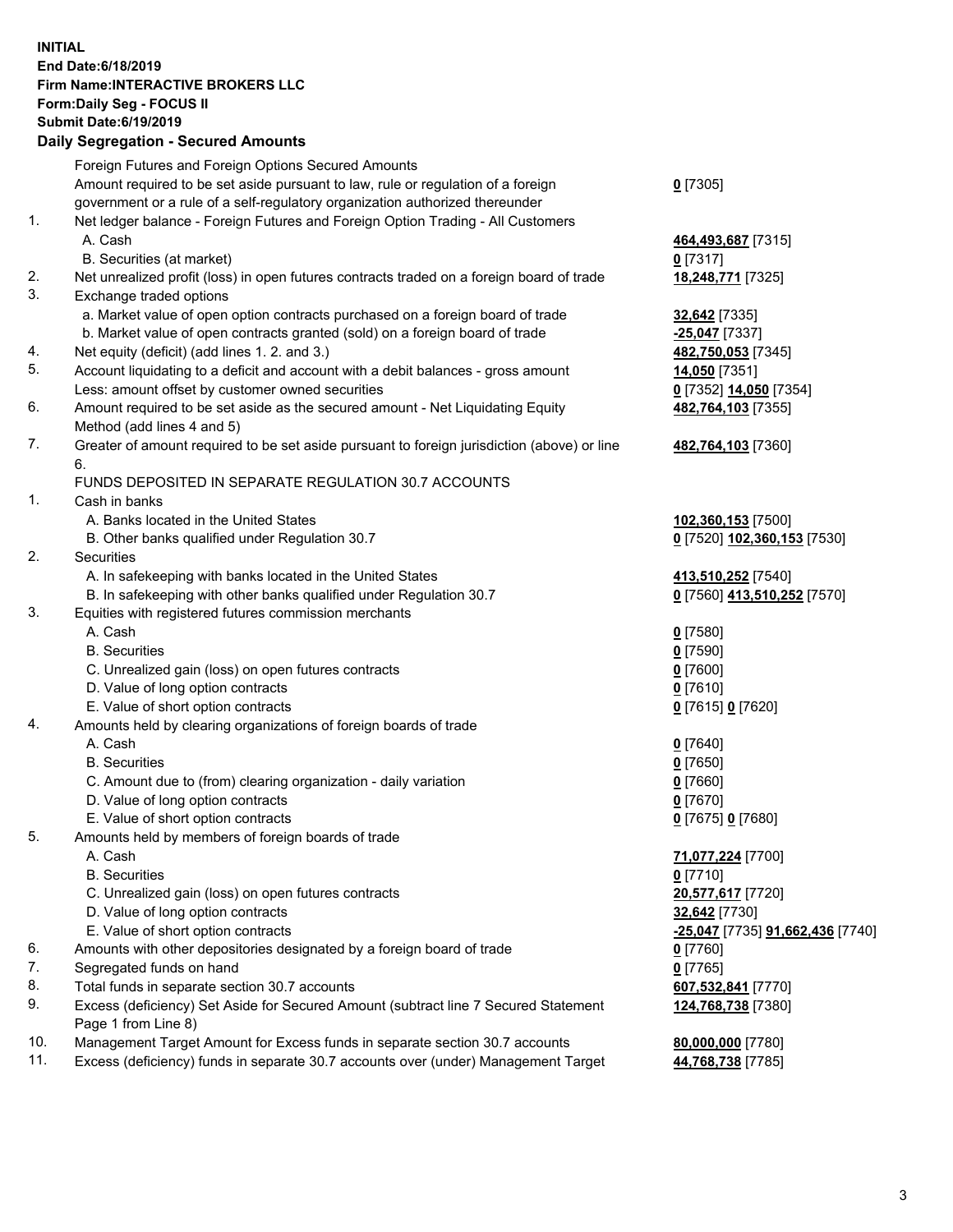## **INITIAL End Date:6/18/2019 Firm Name:INTERACTIVE BROKERS LLC Form:Daily Seg - FOCUS II Submit Date:6/19/2019 Daily Segregation - Secured Amounts**

|                | Dany Segregation - Secured Announts                                                                                             |                                                |
|----------------|---------------------------------------------------------------------------------------------------------------------------------|------------------------------------------------|
|                | Foreign Futures and Foreign Options Secured Amounts                                                                             |                                                |
|                | Amount required to be set aside pursuant to law, rule or regulation of a foreign                                                | $0$ [7305]                                     |
|                | government or a rule of a self-regulatory organization authorized thereunder                                                    |                                                |
| $\mathbf{1}$ . | Net ledger balance - Foreign Futures and Foreign Option Trading - All Customers                                                 |                                                |
|                | A. Cash                                                                                                                         | 464,493,687 [7315]                             |
|                | B. Securities (at market)                                                                                                       | $0$ [7317]                                     |
| 2.             | Net unrealized profit (loss) in open futures contracts traded on a foreign board of trade                                       | 18,248,771 [7325]                              |
| 3.             | Exchange traded options                                                                                                         |                                                |
|                | a. Market value of open option contracts purchased on a foreign board of trade                                                  | 32,642 [7335]                                  |
|                | b. Market value of open contracts granted (sold) on a foreign board of trade                                                    | -25,047 [7337]                                 |
| 4.             | Net equity (deficit) (add lines 1. 2. and 3.)                                                                                   | 482,750,053 [7345]                             |
| 5.             | Account liquidating to a deficit and account with a debit balances - gross amount                                               | 14,050 [7351]                                  |
|                | Less: amount offset by customer owned securities                                                                                | 0 [7352] 14,050 [7354]                         |
| 6.             | Amount required to be set aside as the secured amount - Net Liquidating Equity                                                  | 482,764,103 [7355]                             |
|                | Method (add lines 4 and 5)                                                                                                      |                                                |
| 7.             | Greater of amount required to be set aside pursuant to foreign jurisdiction (above) or line                                     | 482,764,103 [7360]                             |
|                | 6.                                                                                                                              |                                                |
|                | FUNDS DEPOSITED IN SEPARATE REGULATION 30.7 ACCOUNTS                                                                            |                                                |
| 1.             | Cash in banks                                                                                                                   |                                                |
|                | A. Banks located in the United States                                                                                           | 102,360,153 [7500]                             |
| 2.             | B. Other banks qualified under Regulation 30.7                                                                                  | 0 [7520] 102,360,153 [7530]                    |
|                | <b>Securities</b>                                                                                                               |                                                |
|                | A. In safekeeping with banks located in the United States<br>B. In safekeeping with other banks qualified under Regulation 30.7 | 413,510,252 [7540]                             |
| 3.             | Equities with registered futures commission merchants                                                                           | 0 [7560] 413,510,252 [7570]                    |
|                | A. Cash                                                                                                                         | $0$ [7580]                                     |
|                | <b>B.</b> Securities                                                                                                            | $0$ [7590]                                     |
|                | C. Unrealized gain (loss) on open futures contracts                                                                             | $0$ [7600]                                     |
|                | D. Value of long option contracts                                                                                               | $0$ [7610]                                     |
|                | E. Value of short option contracts                                                                                              | 0 [7615] 0 [7620]                              |
| 4.             | Amounts held by clearing organizations of foreign boards of trade                                                               |                                                |
|                | A. Cash                                                                                                                         | $0$ [7640]                                     |
|                | <b>B.</b> Securities                                                                                                            | $0$ [7650]                                     |
|                | C. Amount due to (from) clearing organization - daily variation                                                                 | $0$ [7660]                                     |
|                | D. Value of long option contracts                                                                                               | $0$ [7670]                                     |
|                | E. Value of short option contracts                                                                                              | 0 [7675] 0 [7680]                              |
| 5.             | Amounts held by members of foreign boards of trade                                                                              |                                                |
|                | A. Cash                                                                                                                         | 71,077,224 [7700]                              |
|                | <b>B.</b> Securities                                                                                                            | $0$ [7710]                                     |
|                | C. Unrealized gain (loss) on open futures contracts                                                                             | 20,577,617 [7720]                              |
|                | D. Value of long option contracts                                                                                               | 32,642 [7730]                                  |
|                | E. Value of short option contracts                                                                                              | <u>-25,047</u> [7735] <b>91,662,436</b> [7740] |
| 6.             | Amounts with other depositories designated by a foreign board of trade                                                          | 0 [7760]                                       |
| 7.             | Segregated funds on hand                                                                                                        | $0$ [7765]                                     |
| 8.             | Total funds in separate section 30.7 accounts                                                                                   | 607,532,841 [7770]                             |
| 9.             | Excess (deficiency) Set Aside for Secured Amount (subtract line 7 Secured Statement<br>Page 1 from Line 8)                      | 124,768,738 [7380]                             |
| 10.            | Management Target Amount for Excess funds in separate section 30.7 accounts                                                     | 80,000,000 [7780]                              |
| 11.            | Excess (deficiency) funds in separate 30.7 accounts over (under) Management Target                                              | 44,768,738 [7785]                              |
|                |                                                                                                                                 |                                                |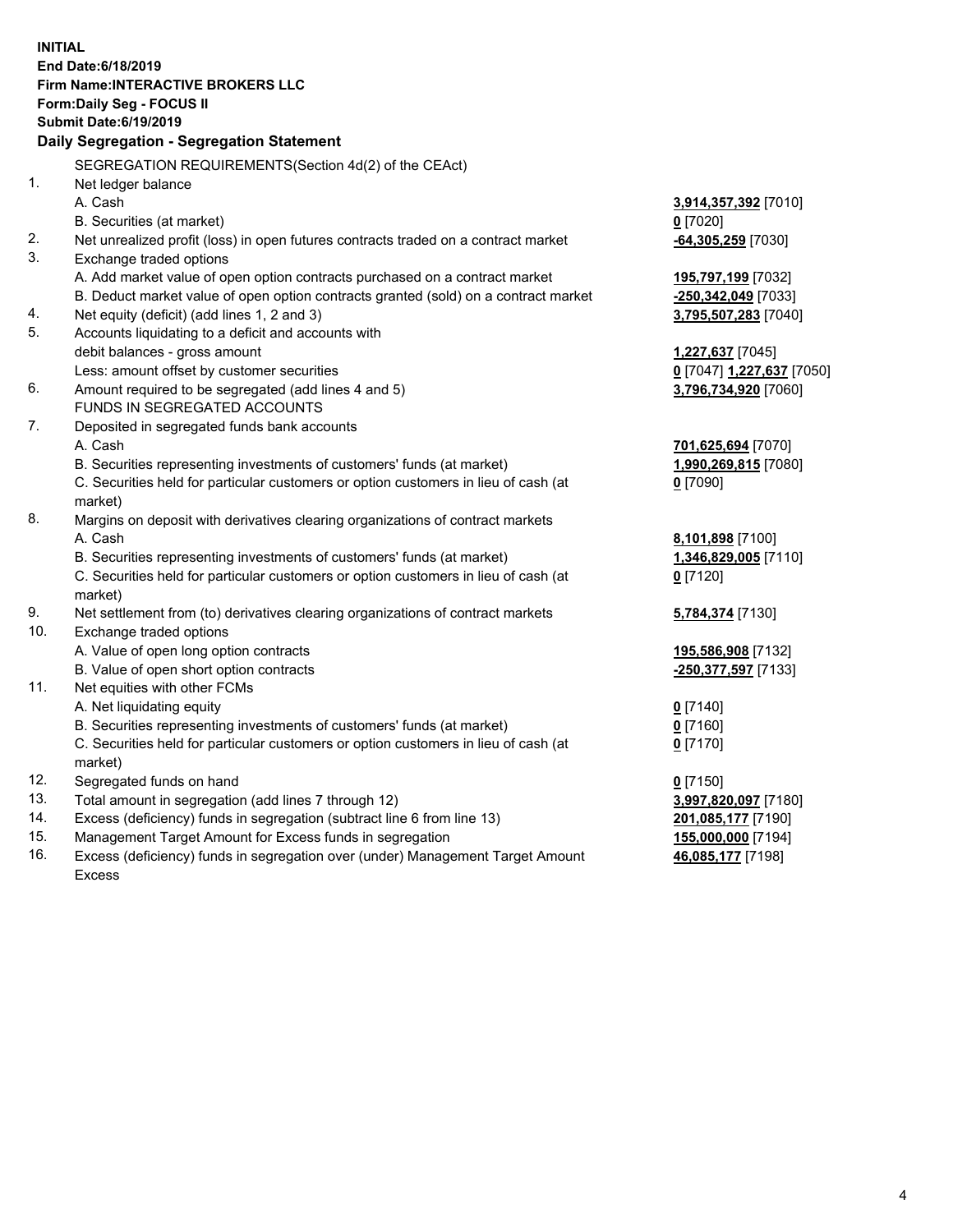**INITIAL End Date:6/18/2019 Firm Name:INTERACTIVE BROKERS LLC Form:Daily Seg - FOCUS II Submit Date:6/19/2019 Daily Segregation - Segregation Statement** SEGREGATION REQUIREMENTS(Section 4d(2) of the CEAct) 1. Net ledger balance A. Cash **3,914,357,392** [7010] B. Securities (at market) **0** [7020] 2. Net unrealized profit (loss) in open futures contracts traded on a contract market **-64,305,259** [7030] 3. Exchange traded options A. Add market value of open option contracts purchased on a contract market **195,797,199** [7032] B. Deduct market value of open option contracts granted (sold) on a contract market **-250,342,049** [7033] 4. Net equity (deficit) (add lines 1, 2 and 3) **3,795,507,283** [7040] 5. Accounts liquidating to a deficit and accounts with debit balances - gross amount **1,227,637** [7045] Less: amount offset by customer securities **0** [7047] **1,227,637** [7050] 6. Amount required to be segregated (add lines 4 and 5) **3,796,734,920** [7060] FUNDS IN SEGREGATED ACCOUNTS 7. Deposited in segregated funds bank accounts A. Cash **701,625,694** [7070] B. Securities representing investments of customers' funds (at market) **1,990,269,815** [7080] C. Securities held for particular customers or option customers in lieu of cash (at market) **0** [7090] 8. Margins on deposit with derivatives clearing organizations of contract markets A. Cash **8,101,898** [7100] B. Securities representing investments of customers' funds (at market) **1,346,829,005** [7110] C. Securities held for particular customers or option customers in lieu of cash (at market) **0** [7120] 9. Net settlement from (to) derivatives clearing organizations of contract markets **5,784,374** [7130] 10. Exchange traded options A. Value of open long option contracts **195,586,908** [7132] B. Value of open short option contracts **-250,377,597** [7133] 11. Net equities with other FCMs A. Net liquidating equity **0** [7140] B. Securities representing investments of customers' funds (at market) **0** [7160] C. Securities held for particular customers or option customers in lieu of cash (at market) **0** [7170] 12. Segregated funds on hand **0** [7150] 13. Total amount in segregation (add lines 7 through 12) **3,997,820,097** [7180] 14. Excess (deficiency) funds in segregation (subtract line 6 from line 13) **201,085,177** [7190] 15. Management Target Amount for Excess funds in segregation **155,000,000** [7194] **46,085,177** [7198]

16. Excess (deficiency) funds in segregation over (under) Management Target Amount Excess